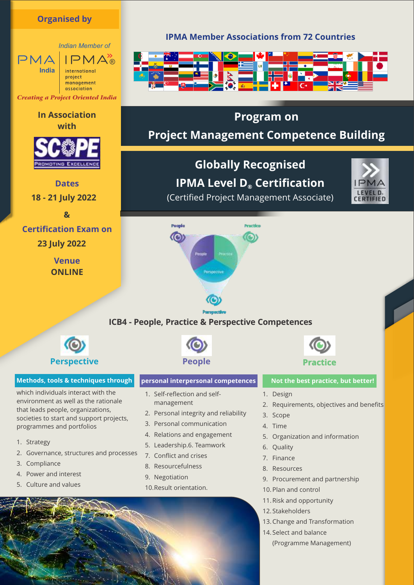# **Organised by**

*Indian Member of*  $IPMA_{\mathbb{R}}^{\prime}$  $PMA$ **India** international project management association *Creating a Project Oriented India*

# **In Association with**



**Dates 18 - 21 July 2022**

**&**

# **Certification Exam on**

**23 July 2022**

**Venue ONLINE**

# **IPMA Member Associations from 72 Countries**



# **Program on**

# **Project Management Competence Building**

**Globally Recognised IPMA Level D® Certification** (Certified Project Management Associate)



Poople **Beaching**  $\circ$ a

# **ICB4 - People, Practice & Perspective Competences**



## **Methods, tools & techniques through**

which individuals interact with the environment as well as the rationale that leads people, organizations, societies to start and support projects, programmes and portfolios

- 1. Strategy
- 2. Governance, structures and processes
- 3. Compliance
- 4. Power and interest
- 5. Culture and values



## **personal interpersonal competences** Not the best practice, but better!

- 1. Self-reflection and selfmanagement
- 2. Personal integrity and reliability
- 3. Personal communication
- 4. Relations and engagement
- 5. Leadership.6. Teamwork
- 7. Conflict and crises
- 8. Resourcefulness
- 9. Negotiation
- 10. Result orientation.



- 1. Design
- 2. Requirements, objectives and benefits
- 3. Scope
- 4. Time
- 5. Organization and information
- 6. Quality
- 7. Finance
- 8. Resources
- 9. Procurement and partnership
- 10. Plan and control
- 11. Risk and opportunity
- 12. Stakeholders
- 13. Change and Transformation
- 14. Select and balance (Programme Management)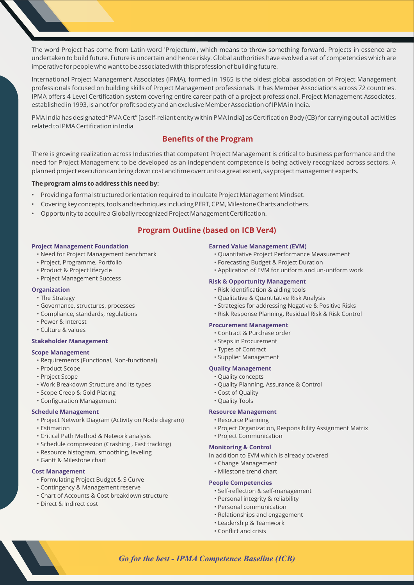The word Project has come from Latin word 'Projectum', which means to throw something forward. Projects in essence are undertaken to build future. Future is uncertain and hence risky. Global authorities have evolved a set of competencies which are imperative for people who want to be associated with this profession of building future.

International Project Management Associates (IPMA), formed in 1965 is the oldest global association of Project Management professionals focused on building skills of Project Management professionals. It has Member Associations across 72 countries. IPMA offers 4 Level Certification system covering entire career path of a project professional. Project Management Associates, established in 1993, is a not for profit society and an exclusive Member Association of IPMA in India.

PMA India has designated "PMA Cert" [a self-reliant entity within PMA India] as Certification Body (CB) for carrying out all activities related to IPMA Certification in India

# **Benefits of the Program**

There is growing realization across Industries that competent Project Management is critical to business performance and the need for Project Management to be developed as an independent competence is being actively recognized across sectors. A planned project execution can bring down cost and time overrun to a great extent, say project management experts.

#### **The program aims to address this need by:**

- Providing a formal structured orientation required to inculcate Project Management Mindset.
- Covering key concepts, tools and techniques including PERT, CPM, Milestone Charts and others.
- Opportunity to acquire a Globally recognized Project Management Certification.

# **Program Outline (based on ICB Ver4)**

#### **Project Management Foundation**

- Need for Project Management benchmark
- Project, Programme, Portfolio
- Product & Project lifecycle
- Project Management Success

#### **Organization**

- The Strategy
- Governance, structures, processes
- Compliance, standards, regulations
- Power & Interest
- Culture & values

#### **Stakeholder Management**

#### **Scope Management**

- Requirements (Functional, Non-functional)
- Product Scope
- Project Scope
- Work Breakdown Structure and its types
- Scope Creep & Gold Plating
- Configuration Management

#### **Schedule Management**

- Project Network Diagram (Activity on Node diagram)
- Estimation
- Critical Path Method & Network analysis
- Schedule compression (Crashing , Fast tracking)
- Resource histogram, smoothing, leveling
- Gantt & Milestone chart

#### **Cost Management**

- Formulating Project Budget & S Curve
- Contingency & Management reserve
- Chart of Accounts & Cost breakdown structure
- Direct & Indirect cost

#### **Earned Value Management (EVM)**

- Quantitative Project Performance Measurement
- Forecasting Budget & Project Duration
- Application of EVM for uniform and un-uniform work

#### **Risk & Opportunity Management**

- Risk identification & aiding tools
- Qualitative & Quantitative Risk Analysis
- Strategies for addressing Negative & Positive Risks
- Risk Response Planning, Residual Risk & Risk Control

#### **Procurement Management**

- Contract & Purchase order
- Steps in Procurement
- Types of Contract
- Supplier Management

#### **Quality Management**

- Quality concepts
- Quality Planning, Assurance & Control
- Cost of Quality
- Quality Tools

#### **Resource Management**

- Resource Planning
- Project Organization, Responsibility Assignment Matrix
- Project Communication

#### **Monitoring & Control**

- In addition to EVM which is already covered
	- Change Management
	- Milestone trend chart

#### **People Competencies**

- Self-reflection & self-management
- Personal integrity & reliability
- Personal communication
- Relationships and engagement
- Leadership & Teamwork
- Conflict and crisis

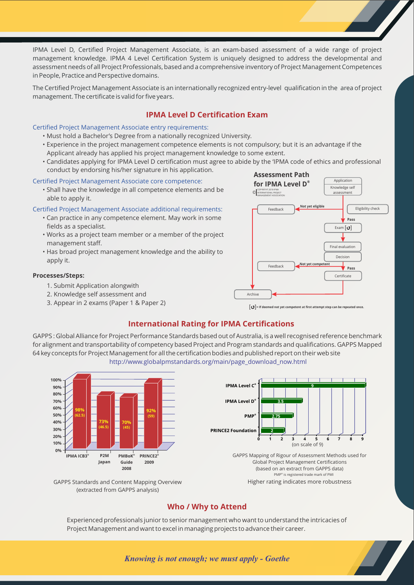IPMA Level D, Certified Project Management Associate, is an exam-based assessment of a wide range of project management knowledge. IPMA 4 Level Certification System is uniquely designed to address the developmental and assessment needs of all Project Professionals, based and a comprehensive inventory of Project Management Competences in People, Practice and Perspective domains.

The Certified Project Management Associate is an internationally recognized entry-level qualification in the area of project management. The certificate is valid for five years.

# **IPMA Level D Certification Exam**

#### Certified Project Management Associate entry requirements:

- Must hold a Bachelor's Degree from a nationally recognized University.
- Experience in the project management competence elements is not compulsory; but it is an advantage if the Applicant already has applied his project management knowledge to some extent.
- Candidates applying for IPMA Level D certification must agree to abide by the 'IPMA code of ethics and professional conduct by endorsing his/her signature in his application.

#### Certified Project Management Associate core competence:

• Shall have the knowledge in all competence elements and be able to apply it.

#### Certified Project Management Associate additional requirements:

- Can practice in any competence element. May work in some fields as a specialist.
- Works as a project team member or a member of the project management staff.
- Has broad project management knowledge and the ability to apply it.

#### **Processes/Steps:**

- 1. Submit Application alongwith
- 2. Knowledge self assessment and
- 3. Appear in 2 exams (Paper 1 & Paper 2)



[ ]**= If deemed not yet competent at first attempt step can be repeated once.**

# **International Rating for IPMA Certifications**

GAPPS : Global Alliance for Project Performance Standards based out of Australia, is a well recognised reference benchmark for alignment and transportability of competency based Project and Program standards and qualifications. GAPPS Mapped 64 key concepts for Project Management for all the certification bodies and published report on their web site http://www.globalpmstandards.org/main/page\_download\_now.html



# **Who / Why to Attend**

Experienced professionals junior to senior management who want to understand the intricacies of Project Management and want to excel in managing projects to advance their career.

## *Knowing is not enough; we must apply - Goethe*